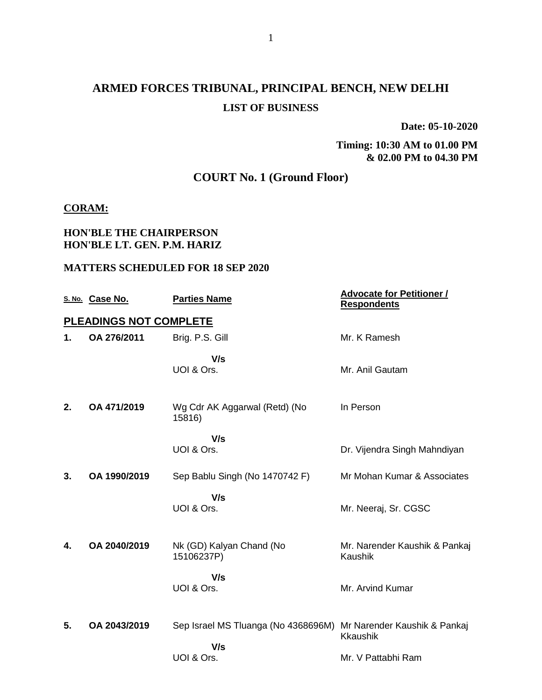# **ARMED FORCES TRIBUNAL, PRINCIPAL BENCH, NEW DELHI LIST OF BUSINESS**

**Date: 05-10-2020**

**Timing: 10:30 AM to 01.00 PM & 02.00 PM to 04.30 PM**

## **COURT No. 1 (Ground Floor)**

### **CORAM:**

### **HON'BLE THE CHAIRPERSON HON'BLE LT. GEN. P.M. HARIZ**

|    | S. No. Case No.               | <b>Parties Name</b>                        | <b>Advocate for Petitioner /</b><br><b>Respondents</b> |
|----|-------------------------------|--------------------------------------------|--------------------------------------------------------|
|    | <b>PLEADINGS NOT COMPLETE</b> |                                            |                                                        |
| 1. | OA 276/2011                   | Brig. P.S. Gill                            | Mr. K Ramesh                                           |
|    |                               | V/s<br>UOI & Ors.                          | Mr. Anil Gautam                                        |
| 2. | OA 471/2019                   | Wg Cdr AK Aggarwal (Retd) (No<br>15816)    | In Person                                              |
|    |                               | V/s<br>UOI & Ors.                          | Dr. Vijendra Singh Mahndiyan                           |
| 3. | OA 1990/2019                  | Sep Bablu Singh (No 1470742 F)             | Mr Mohan Kumar & Associates                            |
|    |                               | V/s<br>UOI & Ors.                          | Mr. Neeraj, Sr. CGSC                                   |
| 4. | OA 2040/2019                  | Nk (GD) Kalyan Chand (No<br>15106237P)     | Mr. Narender Kaushik & Pankaj<br>Kaushik               |
|    |                               | V/s<br>UOI & Ors.                          | Mr. Arvind Kumar                                       |
| 5. | OA 2043/2019                  | Sep Israel MS Tluanga (No 4368696M)<br>V/s | Mr Narender Kaushik & Pankaj<br><b>Kkaushik</b>        |
|    |                               | UOI & Ors.                                 | Mr. V Pattabhi Ram                                     |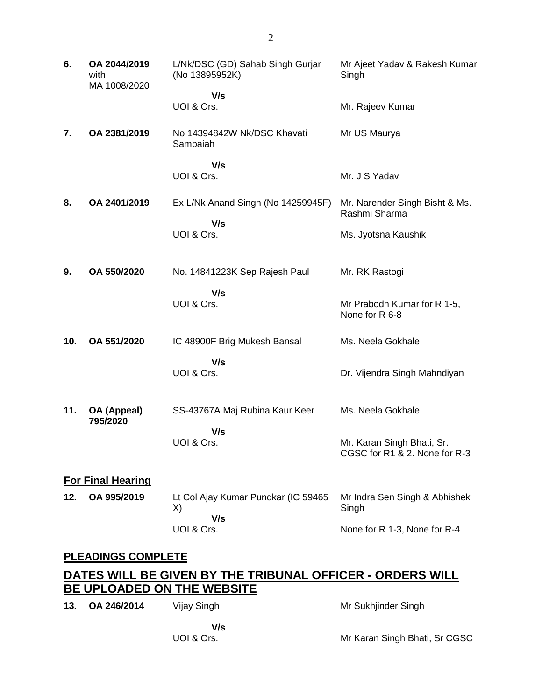| 6.<br>OA 2044/2019<br>with<br>MA 1008/2020 |  | L/Nk/DSC (GD) Sahab Singh Gurjar<br>(No 13895952K) | Mr Ajeet Yadav & Rakesh Kumar<br>Singh                      |
|--------------------------------------------|--|----------------------------------------------------|-------------------------------------------------------------|
|                                            |  | V/s<br>UOI & Ors.                                  | Mr. Rajeev Kumar                                            |
| 7.<br>OA 2381/2019                         |  | No 14394842W Nk/DSC Khavati<br>Sambaiah            | Mr US Maurya                                                |
|                                            |  | V/s<br>UOI & Ors.                                  | Mr. J S Yadav                                               |
| OA 2401/2019<br>8.                         |  | Ex L/Nk Anand Singh (No 14259945F)                 | Mr. Narender Singh Bisht & Ms.<br>Rashmi Sharma             |
|                                            |  | V/s<br>UOI & Ors.                                  | Ms. Jyotsna Kaushik                                         |
| OA 550/2020<br>9.                          |  | No. 14841223K Sep Rajesh Paul                      | Mr. RK Rastogi                                              |
|                                            |  | V/s<br>UOI & Ors.                                  | Mr Prabodh Kumar for R 1-5,<br>None for R 6-8               |
| 10.<br>OA 551/2020                         |  | IC 48900F Brig Mukesh Bansal                       | Ms. Neela Gokhale                                           |
|                                            |  | V/s<br>UOI & Ors.                                  | Dr. Vijendra Singh Mahndiyan                                |
| 11.<br>OA (Appeal)<br>795/2020             |  | SS-43767A Maj Rubina Kaur Keer                     | Ms. Neela Gokhale                                           |
|                                            |  | V/s<br>UOI & Ors.                                  | Mr. Karan Singh Bhati, Sr.<br>CGSC for R1 & 2. None for R-3 |
| <b>For Final Hearing</b>                   |  |                                                    |                                                             |
| OA 995/2019<br>12.                         |  | Lt Col Ajay Kumar Pundkar (IC 59465<br>X)<br>V/s   | Mr Indra Sen Singh & Abhishek<br>Singh                      |
|                                            |  | UOI & Ors.                                         | None for R 1-3, None for R-4                                |
| <b>PLEADINGS COMPLETE</b>                  |  |                                                    |                                                             |

### **DATES WILL BE GIVEN BY THE TRIBUNAL OFFICER - ORDERS WILL BE UPLOADED ON THE WEBSITE**

| 13. OA 246/2014 | Vijay Singh | Mr Sukhjinder Singh           |
|-----------------|-------------|-------------------------------|
|                 | V/s         |                               |
|                 | UOI & Ors.  | Mr Karan Singh Bhati, Sr CGSC |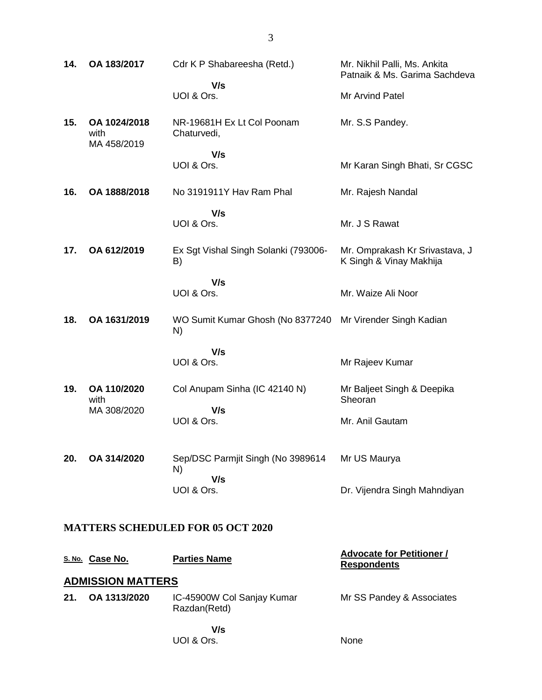| 14.           | OA 183/2017                         | Cdr K P Shabareesha (Retd.)<br>V/s         | Mr. Nikhil Palli, Ms. Ankita<br>Patnaik & Ms. Garima Sachdeva |
|---------------|-------------------------------------|--------------------------------------------|---------------------------------------------------------------|
|               |                                     | UOI & Ors.                                 | Mr Arvind Patel                                               |
| 15.           | OA 1024/2018<br>with<br>MA 458/2019 | NR-19681H Ex Lt Col Poonam<br>Chaturvedi,  | Mr. S.S Pandey.                                               |
|               |                                     | V/s<br>UOI & Ors.                          | Mr Karan Singh Bhati, Sr CGSC                                 |
| 16.           | OA 1888/2018                        | No 3191911Y Hav Ram Phal                   | Mr. Rajesh Nandal                                             |
|               |                                     | V/s<br>UOI & Ors.                          | Mr. J S Rawat                                                 |
| 17.           | OA 612/2019                         | Ex Sgt Vishal Singh Solanki (793006-<br>B) | Mr. Omprakash Kr Srivastava, J<br>K Singh & Vinay Makhija     |
|               |                                     | V/s<br>UOI & Ors.                          | Mr. Waize Ali Noor                                            |
| 18.           | OA 1631/2019                        | WO Sumit Kumar Ghosh (No 8377240<br>N)     | Mr Virender Singh Kadian                                      |
|               |                                     | V/s<br>UOI & Ors.                          | Mr Rajeev Kumar                                               |
| 19.           | OA 110/2020<br>with<br>MA 308/2020  | Col Anupam Sinha (IC 42140 N)<br>V/s       | Mr Baljeet Singh & Deepika<br>Sheoran                         |
|               |                                     | UOI & Ors.                                 | Mr. Anil Gautam                                               |
| 20.           | OA 314/2020                         | Sep/DSC Parmjit Singh (No 3989614<br>N)    | Mr US Maurya                                                  |
|               |                                     | V/s<br>UOI & Ors.                          | Dr. Vijendra Singh Mahndiyan                                  |
|               |                                     | <b>MATTERS SCHEDULED FOR 05 OCT 2020</b>   |                                                               |
| <u>S. No.</u> | Case No.                            | <b>Parties Name</b>                        | <b>Advocate for Petitioner /</b><br>Respondents               |

# **ADMISSION MATTERS**

| 21. OA 1313/2020 | IC-45900W Col Sanjay Kumar | Mr SS Pandey & Associates |
|------------------|----------------------------|---------------------------|
|                  | Razdan(Retd)               |                           |
|                  |                            |                           |

 **V/s** UOI & Ors.

3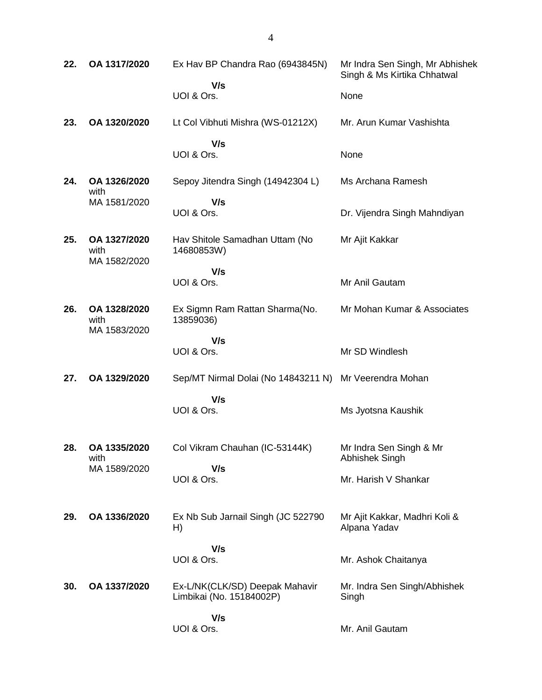| 22. | OA 1317/2020                         | Ex Hav BP Chandra Rao (6943845N)                           | Mr Indra Sen Singh, Mr Abhishek<br>Singh & Ms Kirtika Chhatwal |
|-----|--------------------------------------|------------------------------------------------------------|----------------------------------------------------------------|
|     |                                      | V/s<br>UOI & Ors.                                          | None                                                           |
| 23. | OA 1320/2020                         | Lt Col Vibhuti Mishra (WS-01212X)                          | Mr. Arun Kumar Vashishta                                       |
|     |                                      | V/s<br>UOI & Ors.                                          | None                                                           |
| 24. | OA 1326/2020<br>with                 | Sepoy Jitendra Singh (14942304 L)                          | Ms Archana Ramesh                                              |
|     | MA 1581/2020                         | V/s<br>UOI & Ors.                                          | Dr. Vijendra Singh Mahndiyan                                   |
| 25. | OA 1327/2020<br>with<br>MA 1582/2020 | Hav Shitole Samadhan Uttam (No<br>14680853W)               | Mr Ajit Kakkar                                                 |
|     |                                      | V/s<br>UOI & Ors.                                          | Mr Anil Gautam                                                 |
| 26. | OA 1328/2020<br>with<br>MA 1583/2020 | Ex Sigmn Ram Rattan Sharma(No.<br>13859036)                | Mr Mohan Kumar & Associates                                    |
|     |                                      | V/s<br>UOI & Ors.                                          | Mr SD Windlesh                                                 |
| 27. | OA 1329/2020                         | Sep/MT Nirmal Dolai (No 14843211 N) Mr Veerendra Mohan     |                                                                |
|     |                                      | V/s<br>UOI & Ors.                                          | Ms Jyotsna Kaushik                                             |
| 28. | OA 1335/2020<br>with                 | Col Vikram Chauhan (IC-53144K)                             | Mr Indra Sen Singh & Mr<br>Abhishek Singh                      |
|     | MA 1589/2020                         | V/s<br>UOI & Ors.                                          | Mr. Harish V Shankar                                           |
| 29. | OA 1336/2020                         | Ex Nb Sub Jarnail Singh (JC 522790)<br>H)                  | Mr Ajit Kakkar, Madhri Koli &<br>Alpana Yadav                  |
|     |                                      | V/s<br>UOI & Ors.                                          | Mr. Ashok Chaitanya                                            |
| 30. | OA 1337/2020                         | Ex-L/NK(CLK/SD) Deepak Mahavir<br>Limbikai (No. 15184002P) | Mr. Indra Sen Singh/Abhishek<br>Singh                          |
|     |                                      | V/s<br>UOI & Ors.                                          | Mr. Anil Gautam                                                |

4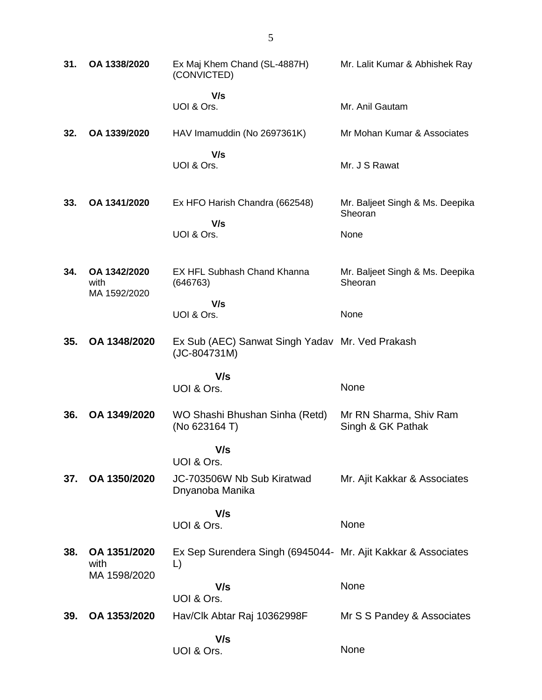| 31. | OA 1338/2020                         | Ex Maj Khem Chand (SL-4887H)<br>(CONVICTED)                         | Mr. Lalit Kumar & Abhishek Ray              |
|-----|--------------------------------------|---------------------------------------------------------------------|---------------------------------------------|
|     |                                      | V/s<br>UOI & Ors.                                                   | Mr. Anil Gautam                             |
| 32. | OA 1339/2020                         | HAV Imamuddin (No 2697361K)                                         | Mr Mohan Kumar & Associates                 |
|     |                                      | V/s<br>UOI & Ors.                                                   | Mr. J S Rawat                               |
| 33. | OA 1341/2020                         | Ex HFO Harish Chandra (662548)<br>V/s                               | Mr. Baljeet Singh & Ms. Deepika<br>Sheoran  |
|     |                                      | UOI & Ors.                                                          | None                                        |
| 34. | OA 1342/2020<br>with<br>MA 1592/2020 | <b>EX HFL Subhash Chand Khanna</b><br>(646763)                      | Mr. Baljeet Singh & Ms. Deepika<br>Sheoran  |
|     |                                      | V/s<br>UOI & Ors.                                                   | None                                        |
| 35. | OA 1348/2020                         | Ex Sub (AEC) Sanwat Singh Yadav Mr. Ved Prakash<br>(JC-804731M)     |                                             |
|     |                                      | V/s                                                                 |                                             |
|     |                                      | UOI & Ors.                                                          | None                                        |
| 36. | OA 1349/2020                         | WO Shashi Bhushan Sinha (Retd)<br>(No 623164 T)                     | Mr RN Sharma, Shiv Ram<br>Singh & GK Pathak |
|     |                                      | V/s<br>UOI & Ors.                                                   |                                             |
| 37. | OA 1350/2020                         | JC-703506W Nb Sub Kiratwad<br>Dnyanoba Manika                       | Mr. Ajit Kakkar & Associates                |
|     |                                      | V/s<br>UOI & Ors.                                                   | None                                        |
| 38. | OA 1351/2020<br>with                 | Ex Sep Surendera Singh (6945044- Mr. Ajit Kakkar & Associates<br>L) |                                             |
|     | MA 1598/2020                         | V/s<br>UOI & Ors.                                                   | None                                        |
| 39. | OA 1353/2020                         | Hav/Clk Abtar Raj 10362998F                                         | Mr S S Pandey & Associates                  |
|     |                                      | V/s<br>UOI & Ors.                                                   | None                                        |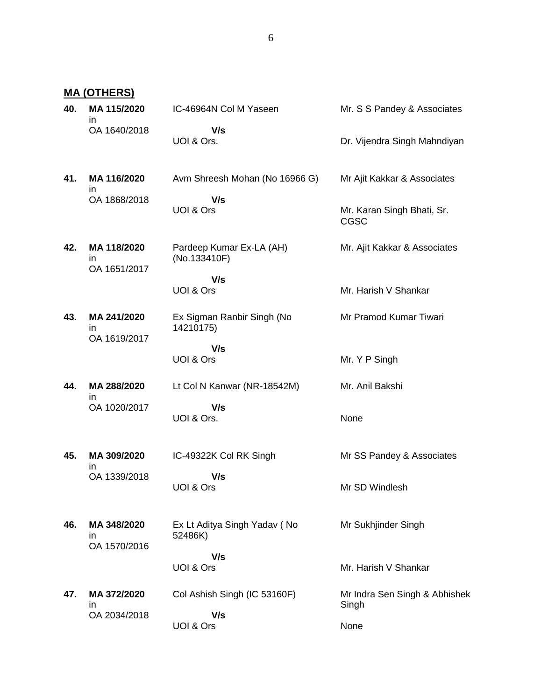**MA (OTHERS)**

| 40. | MA 115/2020<br>ın                 | IC-46964N Col M Yaseen                   | Mr. S S Pandey & Associates               |
|-----|-----------------------------------|------------------------------------------|-------------------------------------------|
|     | OA 1640/2018                      | V/s<br>UOI & Ors.                        | Dr. Vijendra Singh Mahndiyan              |
| 41. | MA 116/2020<br>ın                 | Avm Shreesh Mohan (No 16966 G)           | Mr Ajit Kakkar & Associates               |
|     | OA 1868/2018                      | V/s<br>UOI & Ors                         | Mr. Karan Singh Bhati, Sr.<br><b>CGSC</b> |
| 42. | MA 118/2020<br>ın<br>OA 1651/2017 | Pardeep Kumar Ex-LA (AH)<br>(No.133410F) | Mr. Ajit Kakkar & Associates              |
|     |                                   | V/s<br>UOI & Ors                         | Mr. Harish V Shankar                      |
| 43. | MA 241/2020<br>in<br>OA 1619/2017 | Ex Sigman Ranbir Singh (No<br>14210175)  | Mr Pramod Kumar Tiwari                    |
|     |                                   | V/s<br>UOI & Ors                         | Mr. Y P Singh                             |
| 44. | MA 288/2020<br>in                 | Lt Col N Kanwar (NR-18542M)              | Mr. Anil Bakshi                           |
|     | OA 1020/2017                      | V/s<br>UOI & Ors.                        | None                                      |
| 45. | MA 309/2020<br>in                 | IC-49322K Col RK Singh                   | Mr SS Pandey & Associates                 |
|     | OA 1339/2018                      | V/s<br>UOI & Ors                         | Mr SD Windlesh                            |
| 46. | MA 348/2020<br>in<br>OA 1570/2016 | Ex Lt Aditya Singh Yadav (No<br>52486K)  | Mr Sukhjinder Singh                       |
|     |                                   | V/s<br>UOI & Ors                         | Mr. Harish V Shankar                      |
| 47. | MA 372/2020<br>in<br>OA 2034/2018 | Col Ashish Singh (IC 53160F)<br>V/s      | Mr Indra Sen Singh & Abhishek<br>Singh    |
|     |                                   | UOI & Ors                                | None                                      |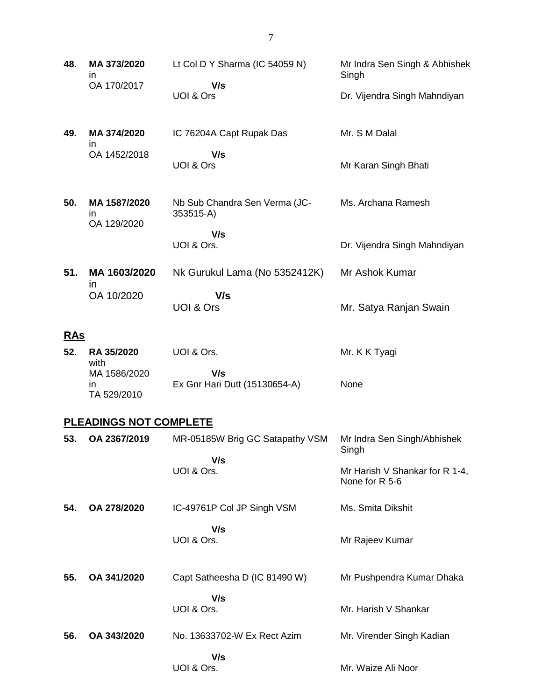| 48.        | MA 373/2020<br>in.                | Lt Col D Y Sharma (IC 54059 N)             | Mr Indra Sen Singh & Abhishek<br>Singh           |
|------------|-----------------------------------|--------------------------------------------|--------------------------------------------------|
|            | OA 170/2017                       | V/s<br>UOI & Ors                           | Dr. Vijendra Singh Mahndiyan                     |
| 49.        | MA 374/2020<br>in                 | IC 76204A Capt Rupak Das                   | Mr. S M Dalal                                    |
|            | OA 1452/2018                      | V/s<br>UOI & Ors                           | Mr Karan Singh Bhati                             |
| 50.        | MA 1587/2020<br>in<br>OA 129/2020 | Nb Sub Chandra Sen Verma (JC-<br>353515-A) | Ms. Archana Ramesh                               |
|            |                                   | V/s<br>UOI & Ors.                          | Dr. Vijendra Singh Mahndiyan                     |
| 51.        | MA 1603/2020<br>$\mathsf{I}$      | Nk Gurukul Lama (No 5352412K)              | Mr Ashok Kumar                                   |
|            | OA 10/2020                        | V/s<br>UOI & Ors                           | Mr. Satya Ranjan Swain                           |
| <u>RAs</u> |                                   |                                            |                                                  |
| 52.        | RA 35/2020<br>with                | UOI & Ors.                                 | Mr. K K Tyagi                                    |
|            | MA 1586/2020<br>in<br>TA 529/2010 | V/s<br>Ex Gnr Hari Dutt (15130654-A)       | None                                             |
|            | <b>PLEADINGS NOT COMPLETE</b>     |                                            |                                                  |
| 53.        | OA 2367/2019                      | MR-05185W Brig GC Satapathy VSM            | Mr Indra Sen Singh/Abhishek<br>Singh             |
|            |                                   | V/s<br>UOI & Ors.                          | Mr Harish V Shankar for R 1-4,<br>None for R 5-6 |
| 54.        | OA 278/2020                       | IC-49761P Col JP Singh VSM                 | Ms. Smita Dikshit                                |
|            |                                   | V/s<br>UOI & Ors.                          | Mr Rajeev Kumar                                  |
| 55.        | OA 341/2020                       | Capt Satheesha D (IC 81490 W)              | Mr Pushpendra Kumar Dhaka                        |
|            |                                   | V/s<br>UOI & Ors.                          | Mr. Harish V Shankar                             |
| 56.        | OA 343/2020                       | No. 13633702-W Ex Rect Azim                | Mr. Virender Singh Kadian                        |
|            |                                   | V/s<br>UOI & Ors.                          | Mr. Waize Ali Noor                               |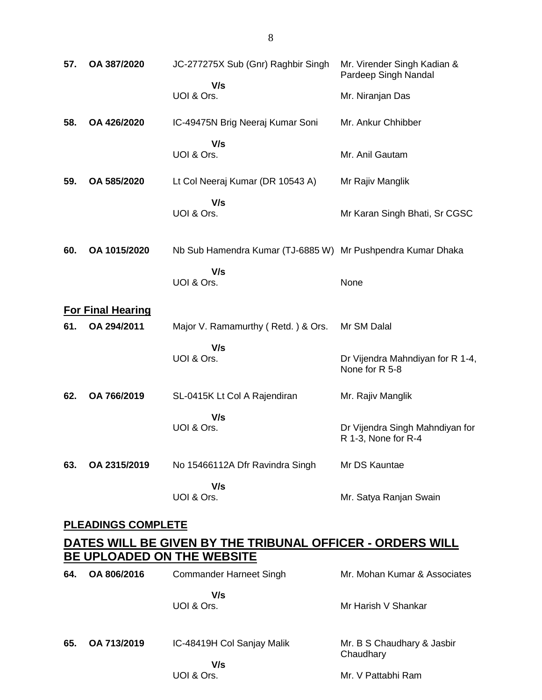| 57. | OA 387/2020               | JC-277275X Sub (Gnr) Raghbir Singh                                                                     | Mr. Virender Singh Kadian &<br>Pardeep Singh Nandal    |
|-----|---------------------------|--------------------------------------------------------------------------------------------------------|--------------------------------------------------------|
|     |                           | V/s<br>UOI & Ors.                                                                                      | Mr. Niranjan Das                                       |
| 58. | OA 426/2020               | IC-49475N Brig Neeraj Kumar Soni                                                                       | Mr. Ankur Chhibber                                     |
|     |                           | V/s<br>UOI & Ors.                                                                                      | Mr. Anil Gautam                                        |
| 59. | OA 585/2020               | Lt Col Neeraj Kumar (DR 10543 A)                                                                       | Mr Rajiv Manglik                                       |
|     |                           | V/s<br>UOI & Ors.                                                                                      | Mr Karan Singh Bhati, Sr CGSC                          |
| 60. | OA 1015/2020              | Nb Sub Hamendra Kumar (TJ-6885 W) Mr Pushpendra Kumar Dhaka                                            |                                                        |
|     |                           | V/s<br>UOI & Ors.                                                                                      | None                                                   |
|     | <b>For Final Hearing</b>  |                                                                                                        |                                                        |
| 61. | OA 294/2011               | Major V. Ramamurthy (Retd.) & Ors.                                                                     | Mr SM Dalal                                            |
|     |                           | V/s<br>UOI & Ors.                                                                                      | Dr Vijendra Mahndiyan for R 1-4,<br>None for R 5-8     |
| 62. | OA 766/2019               | SL-0415K Lt Col A Rajendiran                                                                           | Mr. Rajiv Manglik                                      |
|     |                           | V/s<br>UOI & Ors.                                                                                      | Dr Vijendra Singh Mahndiyan for<br>R 1-3, None for R-4 |
| 63. | OA 2315/2019              | No 15466112A Dfr Ravindra Singh                                                                        | Mr DS Kauntae                                          |
|     |                           | V/s<br>UOI & Ors.                                                                                      | Mr. Satya Ranjan Swain                                 |
|     | <b>PLEADINGS COMPLETE</b> |                                                                                                        |                                                        |
|     |                           | <u>DATES WILL BE GIVEN BY THE TRIBUNAL OFFICER - ORDERS WILL </u><br><b>BE UPLOADED ON THE WEBSITE</b> |                                                        |
| 64. | OA 806/2016               | Commander Harneet Singh                                                                                | Mr. Mohan Kumar & Associates                           |
|     |                           | V/s<br>UOI & Ors.                                                                                      | Mr Harish V Shankar                                    |
| 65. | OA 713/2019               | IC-48419H Col Sanjay Malik                                                                             | Mr. B S Chaudhary & Jasbir<br>Chaudhary                |
|     |                           | V/s<br>UOI & Ors.                                                                                      | Mr. V Pattabhi Ram                                     |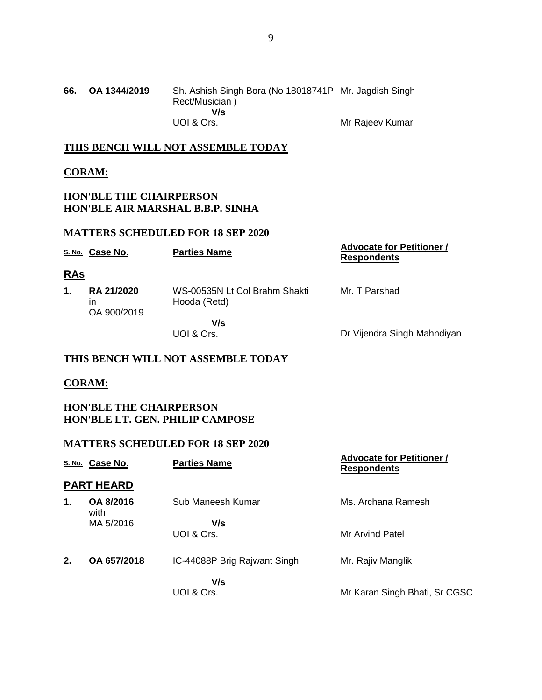| 66. | OA 1344/2019 | Sh. Ashish Singh Bora (No 18018741P Mr. Jagdish Singh<br>Rect/Musician) |                 |
|-----|--------------|-------------------------------------------------------------------------|-----------------|
|     |              | V/s                                                                     |                 |
|     |              | UOI & Ors.                                                              | Mr Rajeev Kumar |

### **THIS BENCH WILL NOT ASSEMBLE TODAY**

### **CORAM:**

### **HON'BLE THE CHAIRPERSON HON'BLE AIR MARSHAL B.B.P. SINHA**

### **MATTERS SCHEDULED FOR 18 SEP 2020**

|            | S. No. Case No.                        | <b>Parties Name</b>                           | <b>Advocate for Petitioner /</b><br><b>Respondents</b> |
|------------|----------------------------------------|-----------------------------------------------|--------------------------------------------------------|
| <u>RAs</u> |                                        |                                               |                                                        |
| 1.         | <b>RA 21/2020</b><br>in<br>OA 900/2019 | WS-00535N Lt Col Brahm Shakti<br>Hooda (Retd) | Mr. T Parshad                                          |
|            |                                        | V/s<br>UOI & Ors.                             | Dr Vijendra Singh Mahndiyan                            |

### **THIS BENCH WILL NOT ASSEMBLE TODAY**

#### **CORAM:**

**HON'BLE THE CHAIRPERSON HON'BLE LT. GEN. PHILIP CAMPOSE**

|               | S. No. Case No.   | <b>Parties Name</b>          | <b>Advocate for Petitioner /</b><br><b>Respondents</b> |
|---------------|-------------------|------------------------------|--------------------------------------------------------|
|               | <b>PART HEARD</b> |                              |                                                        |
| $\mathbf 1$ . | OA 8/2016<br>with | Sub Maneesh Kumar            | Ms. Archana Ramesh                                     |
|               | MA 5/2016         | V/s<br>UOI & Ors.            | Mr Arvind Patel                                        |
| 2.            | OA 657/2018       | IC-44088P Brig Rajwant Singh | Mr. Rajiv Manglik                                      |
|               |                   | V/s<br>UOI & Ors.            | Mr Karan Singh Bhati, Sr CGSC                          |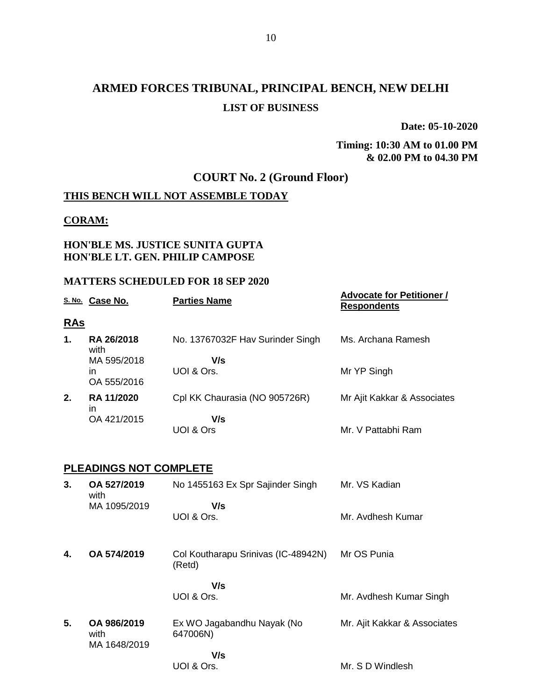# **ARMED FORCES TRIBUNAL, PRINCIPAL BENCH, NEW DELHI LIST OF BUSINESS**

**Date: 05-10-2020**

### **Timing: 10:30 AM to 01.00 PM & 02.00 PM to 04.30 PM**

## **COURT No. 2 (Ground Floor)**

### **THIS BENCH WILL NOT ASSEMBLE TODAY**

### **CORAM:**

### **HON'BLE MS. JUSTICE SUNITA GUPTA HON'BLE LT. GEN. PHILIP CAMPOSE**

|            | S. No. Case No.               | <b>Parties Name</b>                           | <b>Advocate for Petitioner /</b><br><b>Respondents</b> |
|------------|-------------------------------|-----------------------------------------------|--------------------------------------------------------|
| <u>RAs</u> |                               |                                               |                                                        |
| 1.         | RA 26/2018<br>with            | No. 13767032F Hav Surinder Singh              | Ms. Archana Ramesh                                     |
|            | MA 595/2018                   | V/s                                           |                                                        |
|            | in<br>OA 555/2016             | UOI & Ors.                                    | Mr YP Singh                                            |
| 2.         | RA 11/2020<br>in              | Cpl KK Chaurasia (NO 905726R)                 | Mr Ajit Kakkar & Associates                            |
|            | OA 421/2015                   | V/s                                           |                                                        |
|            |                               | UOI & Ors                                     | Mr. V Pattabhi Ram                                     |
|            |                               |                                               |                                                        |
|            | <b>PLEADINGS NOT COMPLETE</b> |                                               |                                                        |
| 3.         | OA 527/2019<br>with           | No 1455163 Ex Spr Sajinder Singh              | Mr. VS Kadian                                          |
|            | MA 1095/2019                  | V/s                                           |                                                        |
|            |                               | UOI & Ors.                                    | Mr. Avdhesh Kumar                                      |
|            |                               |                                               |                                                        |
| 4.         | OA 574/2019                   | Col Koutharapu Srinivas (IC-48942N)<br>(Retd) | Mr OS Punia                                            |
|            |                               | V/s                                           |                                                        |
|            |                               | UOI & Ors.                                    | Mr. Avdhesh Kumar Singh                                |
|            |                               |                                               |                                                        |
| 5.         | OA 986/2019<br>with           | Ex WO Jagabandhu Nayak (No<br>647006N)        | Mr. Ajit Kakkar & Associates                           |
|            | MA 1648/2019                  | V/s                                           |                                                        |
|            |                               | UOI & Ors.                                    | Mr. S D Windlesh                                       |
|            |                               |                                               |                                                        |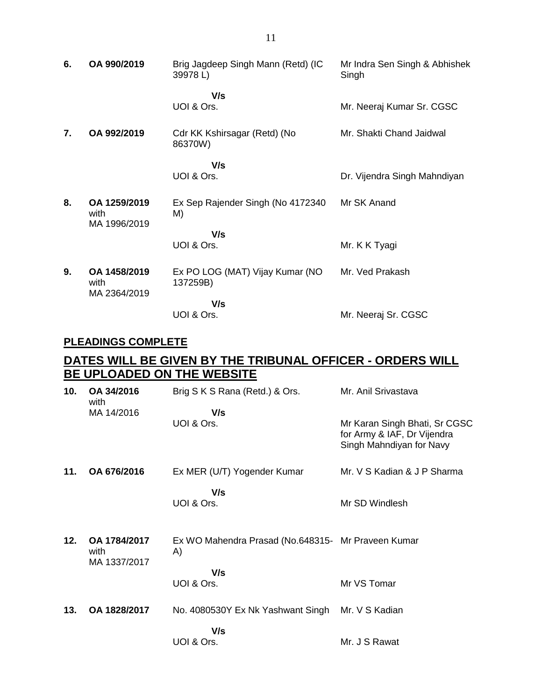| 6. | OA 990/2019                          | Brig Jagdeep Singh Mann (Retd) (IC<br>39978L) | Mr Indra Sen Singh & Abhishek<br>Singh |
|----|--------------------------------------|-----------------------------------------------|----------------------------------------|
|    |                                      | V/s<br>UOI & Ors.                             | Mr. Neeraj Kumar Sr. CGSC              |
| 7. | OA 992/2019                          | Cdr KK Kshirsagar (Retd) (No<br>86370W)       | Mr. Shakti Chand Jaidwal               |
|    |                                      | V/s<br>UOI & Ors.                             | Dr. Vijendra Singh Mahndiyan           |
| 8. | OA 1259/2019<br>with<br>MA 1996/2019 | Ex Sep Rajender Singh (No 4172340)<br>M)      | Mr SK Anand                            |
|    |                                      | V/s                                           |                                        |
|    |                                      | UOI & Ors.                                    | Mr. K K Tyagi                          |
| 9. | OA 1458/2019<br>with<br>MA 2364/2019 | Ex PO LOG (MAT) Vijay Kumar (NO<br>137259B)   | Mr. Ved Prakash                        |
|    |                                      | V/s                                           |                                        |
|    |                                      | UOI & Ors.                                    | Mr. Neeraj Sr. CGSC                    |

### **PLEADINGS COMPLETE**

## **DATES WILL BE GIVEN BY THE TRIBUNAL OFFICER - ORDERS WILL BE UPLOADED ON THE WEBSITE**

| 10. | OA 34/2016<br>with                   | Brig S K S Rana (Retd.) & Ors.                           | Mr. Anil Srivastava                                                                      |
|-----|--------------------------------------|----------------------------------------------------------|------------------------------------------------------------------------------------------|
|     | MA 14/2016                           | V/s<br>UOI & Ors.                                        | Mr Karan Singh Bhati, Sr CGSC<br>for Army & IAF, Dr Vijendra<br>Singh Mahndiyan for Navy |
| 11. | OA 676/2016                          | Ex MER (U/T) Yogender Kumar                              | Mr. V S Kadian & J P Sharma                                                              |
|     |                                      | V/s<br>UOI & Ors.                                        | Mr SD Windlesh                                                                           |
| 12. | OA 1784/2017<br>with<br>MA 1337/2017 | Ex WO Mahendra Prasad (No.648315- Mr Praveen Kumar<br>A) |                                                                                          |
|     |                                      | V/s<br>UOI & Ors.                                        | Mr VS Tomar                                                                              |
| 13. | OA 1828/2017                         | No. 4080530Y Ex Nk Yashwant Singh                        | Mr. V S Kadian                                                                           |
|     |                                      | V/s<br>UOI & Ors.                                        | Mr. J S Rawat                                                                            |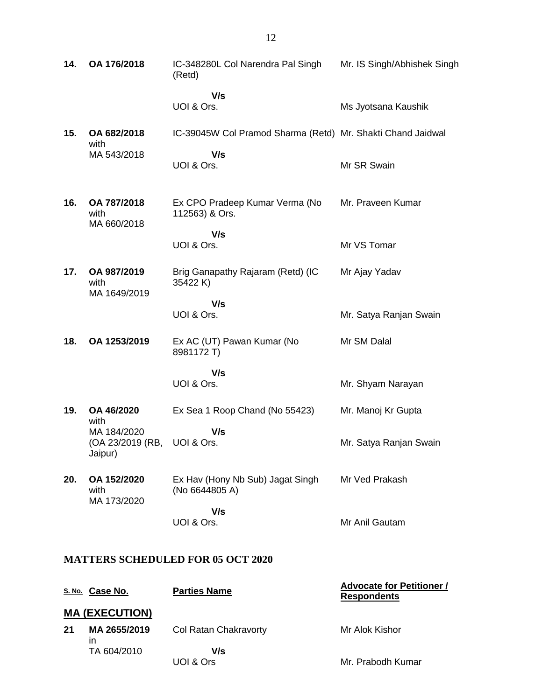| 14.                                      | OA 176/2018                                | IC-348280L Col Narendra Pal Singh<br>(Retd)                 | Mr. IS Singh/Abhishek Singh |  |
|------------------------------------------|--------------------------------------------|-------------------------------------------------------------|-----------------------------|--|
|                                          |                                            | V/s<br>UOI & Ors.                                           | Ms Jyotsana Kaushik         |  |
| 15.                                      | OA 682/2018<br>with                        | IC-39045W Col Pramod Sharma (Retd) Mr. Shakti Chand Jaidwal |                             |  |
|                                          | MA 543/2018                                | V/s<br>UOI & Ors.                                           | Mr SR Swain                 |  |
| 16.                                      | OA 787/2018<br>with<br>MA 660/2018         | Ex CPO Pradeep Kumar Verma (No<br>112563) & Ors.            | Mr. Praveen Kumar           |  |
|                                          |                                            | V/s<br>UOI & Ors.                                           | Mr VS Tomar                 |  |
|                                          |                                            |                                                             |                             |  |
| 17.                                      | OA 987/2019<br>with<br>MA 1649/2019        | Brig Ganapathy Rajaram (Retd) (IC<br>35422 K)               | Mr Ajay Yadav               |  |
|                                          |                                            | V/s                                                         |                             |  |
|                                          |                                            | UOI & Ors.                                                  | Mr. Satya Ranjan Swain      |  |
| 18.                                      | OA 1253/2019                               | Ex AC (UT) Pawan Kumar (No<br>8981172 T)                    | Mr SM Dalal                 |  |
|                                          |                                            | V/s                                                         |                             |  |
|                                          |                                            | UOI & Ors.                                                  | Mr. Shyam Narayan           |  |
| 19.                                      | OA 46/2020<br>with                         | Ex Sea 1 Roop Chand (No 55423)                              | Mr. Manoj Kr Gupta          |  |
|                                          | MA 184/2020<br>(OA 23/2019 (RB,<br>Jaipur) | V/s<br>UOI & Ors.                                           | Mr. Satya Ranjan Swain      |  |
| 20.                                      | OA 152/2020<br>with<br>MA 173/2020         | Ex Hav (Hony Nb Sub) Jagat Singh<br>(No 6644805 A)          | Mr Ved Prakash              |  |
|                                          |                                            | V/s                                                         |                             |  |
|                                          |                                            | UOI & Ors.                                                  | Mr Anil Gautam              |  |
| <b>MATTERS SCHEDULED FOR 05 OCT 2020</b> |                                            |                                                             |                             |  |

|     | S. No. Case No.       | <b>Parties Name</b>   | <b>Advocate for Petitioner /</b><br><b>Respondents</b> |
|-----|-----------------------|-----------------------|--------------------------------------------------------|
|     | <b>MA (EXECUTION)</b> |                       |                                                        |
| -21 | MA 2655/2019<br>ın    | Col Ratan Chakravorty | Mr Alok Kishor                                         |
|     | TA 604/2010           | V/s                   |                                                        |
|     |                       | UOI & Ors             | Mr. Prabodh Kumar                                      |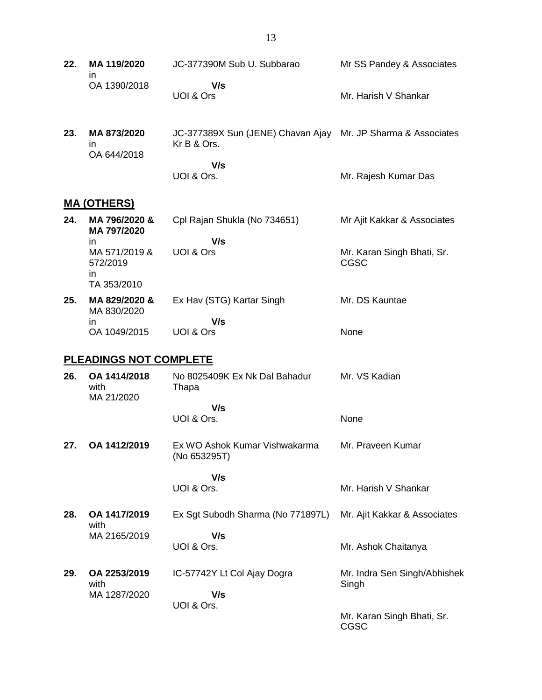- **22. MA 119/2020** in OA 1390/2018 JC-377390M Sub U. Subbarao  **V/s** UOI & Ors Mr SS Pandey & Associates Mr. Harish V Shankar
- **23. MA 873/2020** in OA 644/2018 JC-377389X Sun (JENE) Chavan Ajay Mr. JP Sharma & Associates Kr B & Ors.  **V/s**

#### UOI & Ors. Mr. Rajesh Kumar Das

### **MA (OTHERS)**

| 24. | MA 796/2020 &<br>MA 797/2020                   | Cpl Rajan Shukla (No 734651) | Mr Ajit Kakkar & Associates        |
|-----|------------------------------------------------|------------------------------|------------------------------------|
|     | in                                             | V/s                          |                                    |
|     | MA 571/2019 &<br>572/2019<br>in<br>TA 353/2010 | UOI & Ors                    | Mr. Karan Singh Bhati, Sr.<br>CGSC |
| 25. | MA 829/2020 &<br>MA 830/2020                   | Ex Hav (STG) Kartar Singh    | Mr. DS Kauntae                     |
|     | in                                             | V/s                          |                                    |
|     | OA 1049/2015                                   | UOI & Ors                    | None                               |

### **PLEADINGS NOT COMPLETE**

| 26. | OA 1414/2018<br>with<br>MA 21/2020 | No 8025409K Ex Nk Dal Bahadur<br>Thapa        | Mr. VS Kadian                         |
|-----|------------------------------------|-----------------------------------------------|---------------------------------------|
|     |                                    | V/s                                           |                                       |
|     |                                    | UOI & Ors.                                    | None                                  |
| 27. | OA 1412/2019                       | Ex WO Ashok Kumar Vishwakarma<br>(No 653295T) | Mr. Praveen Kumar                     |
|     |                                    | V/s                                           |                                       |
|     |                                    | UOI & Ors.                                    | Mr. Harish V Shankar                  |
| 28. | OA 1417/2019<br>with               | Ex Sgt Subodh Sharma (No 771897L)             | Mr. Ajit Kakkar & Associates          |
|     | MA 2165/2019                       | V/s                                           |                                       |
|     |                                    | UOI & Ors.                                    | Mr. Ashok Chaitanya                   |
| 29. | OA 2253/2019<br>with               | IC-57742Y Lt Col Ajay Dogra                   | Mr. Indra Sen Singh/Abhishek<br>Singh |
|     | MA 1287/2020                       | V/s                                           |                                       |
|     |                                    | UOI & Ors.                                    |                                       |
|     |                                    |                                               | Mr. Karan Singh Bhati, Sr.<br>CGSC    |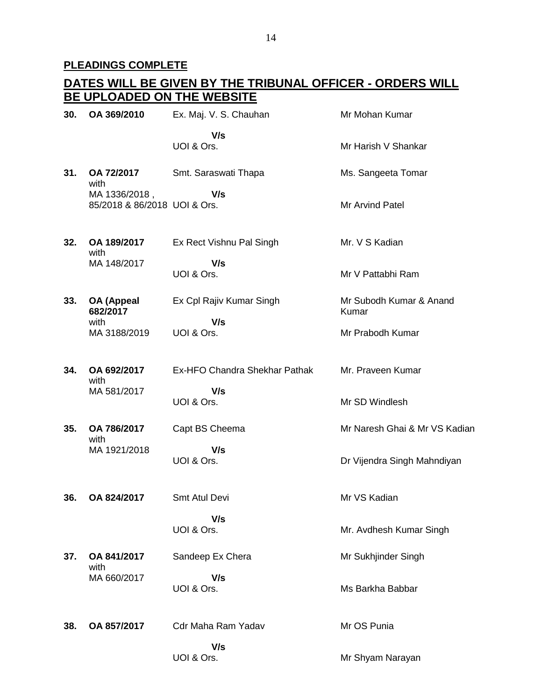#### **PLEADINGS COMPLETE**

#### **DATES WILL BE GIVEN BY THE TRIBUNAL OFFICER - ORDERS WILL BE UPLOADED ON THE WEBSITE 30. OA 369/2010** Ex. Maj. V. S. Chauhan  **V/s** UOI & Ors. Mr Mohan Kumar Mr Harish V Shankar **31. OA 72/2017** with MA 1336/2018 , 85/2018 & 86/2018 UOI & Ors. Smt. Saraswati Thapa  **V/s** Ms. Sangeeta Tomar Mr Arvind Patel **32. OA 189/2017** with MA 148/2017 Ex Rect Vishnu Pal Singh  **V/s** UOI & Ors. Mr. V S Kadian Mr V Pattabhi Ram **33. OA (Appeal 682/2017** with MA 3188/2019 Ex Cpl Rajiv Kumar Singh  **V/s** UOI & Ors. Mr Subodh Kumar & Anand Kumar Mr Prabodh Kumar **34. OA 692/2017** with MA 581/2017 Ex-HFO Chandra Shekhar Pathak  **V/s** UOI & Ors. Mr. Praveen Kumar Mr SD Windlesh **35. OA 786/2017** with MA 1921/2018 Capt BS Cheema  **V/s** UOI & Ors. Mr Naresh Ghai & Mr VS Kadian Dr Vijendra Singh Mahndiyan **36. OA 824/2017** Smt Atul Devi  **V/s** UOI & Ors. Mr VS Kadian Mr. Avdhesh Kumar Singh **37. OA 841/2017** with MA 660/2017 Sandeep Ex Chera  **V/s** UOI & Ors. Mr Sukhjinder Singh Ms Barkha Babbar **38. OA 857/2017** Cdr Maha Ram Yadav  **V/s** UOI & Ors. Mr OS Punia Mr Shyam Narayan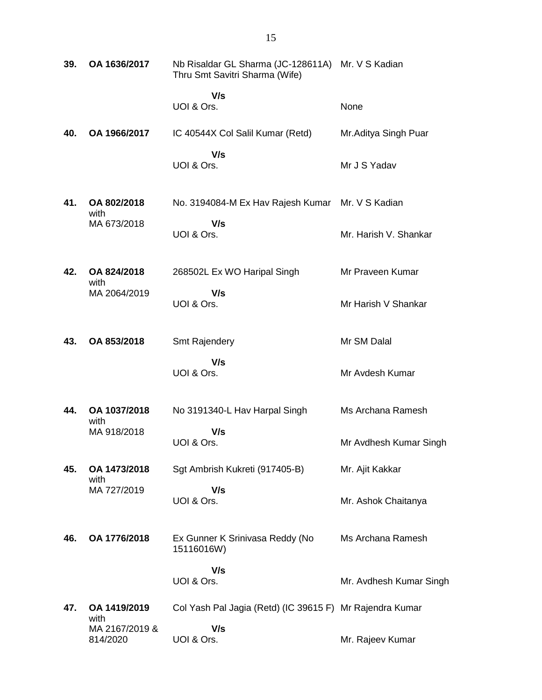| 39. | OA 1636/2017                       | Nb Risaldar GL Sharma (JC-128611A) Mr. V S Kadian<br>Thru Smt Savitri Sharma (Wife) |                         |
|-----|------------------------------------|-------------------------------------------------------------------------------------|-------------------------|
|     |                                    | V/s<br>UOI & Ors.                                                                   | None                    |
| 40. | OA 1966/2017                       | IC 40544X Col Salil Kumar (Retd)                                                    | Mr. Aditya Singh Puar   |
|     |                                    | V/s<br>UOI & Ors.                                                                   | Mr J S Yadav            |
| 41. | OA 802/2018<br>with                | No. 3194084-M Ex Hav Rajesh Kumar                                                   | Mr. V S Kadian          |
|     | MA 673/2018                        | V/s<br>UOI & Ors.                                                                   | Mr. Harish V. Shankar   |
| 42. | OA 824/2018<br>with                | 268502L Ex WO Haripal Singh                                                         | Mr Praveen Kumar        |
|     | MA 2064/2019                       | V/s<br>UOI & Ors.                                                                   | Mr Harish V Shankar     |
| 43. | OA 853/2018                        | <b>Smt Rajendery</b>                                                                | Mr SM Dalal             |
|     |                                    | V/s<br>UOI & Ors.                                                                   | Mr Avdesh Kumar         |
| 44. | OA 1037/2018<br>with               | No 3191340-L Hav Harpal Singh                                                       | Ms Archana Ramesh       |
|     | MA 918/2018                        | V/s<br>UOI & Ors.                                                                   | Mr Avdhesh Kumar Singh  |
| 45. | OA 1473/2018<br>with               | Sgt Ambrish Kukreti (917405-B)                                                      | Mr. Ajit Kakkar         |
|     | MA 727/2019                        | V/s<br>UOI & Ors.                                                                   | Mr. Ashok Chaitanya     |
| 46. | OA 1776/2018                       | Ex Gunner K Srinivasa Reddy (No<br>15116016W)                                       | Ms Archana Ramesh       |
|     |                                    | V/s<br>UOI & Ors.                                                                   | Mr. Avdhesh Kumar Singh |
| 47. | OA 1419/2019                       | Col Yash Pal Jagia (Retd) (IC 39615 F) Mr Rajendra Kumar                            |                         |
|     | with<br>MA 2167/2019 &<br>814/2020 | V/s<br>UOI & Ors.                                                                   | Mr. Rajeev Kumar        |